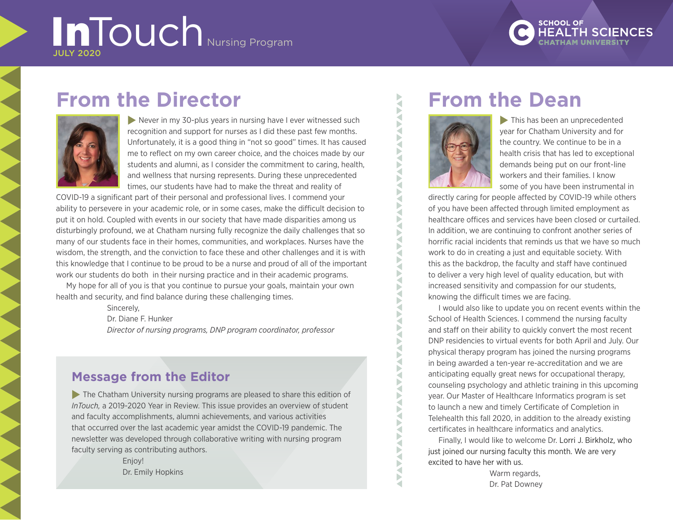# InTouch Nursing Program JULY 2020

**SCHOOL OF** 

# **From the Director**



 $\blacktriangleright$  Never in my 30-plus years in nursing have I ever witnessed such recognition and support for nurses as I did these past few months. Unfortunately, it is a good thing in "not so good" times. It has caused me to reflect on my own career choice, and the choices made by our students and alumni, as I consider the commitment to caring, health, and wellness that nursing represents. During these unprecedented times, our students have had to make the threat and reality of

COVID-19 a significant part of their personal and professional lives. I commend your ability to persevere in your academic role, or in some cases, make the difficult decision to put it on hold. Coupled with events in our society that have made disparities among us disturbingly profound, we at Chatham nursing fully recognize the daily challenges that so many of our students face in their homes, communities, and workplaces. Nurses have the wisdom, the strength, and the conviction to face these and other challenges and it is with this knowledge that I continue to be proud to be a nurse and proud of all of the important work our students do both in their nursing practice and in their academic programs.

My hope for all of you is that you continue to pursue your goals, maintain your own health and security, and find balance during these challenging times.

Sincerely,

Dr. Diane F. Hunker

*Director of nursing programs, DNP program coordinator, professor*

## **Message from the Editor**

 $\triangleright$  The Chatham University nursing programs are pleased to share this edition of *InTouch,* a 2019-2020 Year in Review. This issue provides an overview of student and faculty accomplishments, alumni achievements, and various activities that occurred over the last academic year amidst the COVID-19 pandemic. The newsletter was developed through collaborative writing with nursing program faculty serving as contributing authors.

> Enjoy! Dr. Emily Hopkins

# **From the Dean**



₹ ◀ b ₹ Þ ₹ Þ  $\tilde{\mathbf{S}}$ ₹ ь ₹ Þ ₹ ◀ ь

∢ ◀ а Þ

∢

◀ ∢ ∢ ₹ ∢ ∢ ₹ Þ ₹

 $\blacktriangleright$  This has been an unprecedented year for Chatham University and for the country. We continue to be in a health crisis that has led to exceptional demands being put on our front-line workers and their families. I know some of you have been instrumental in

directly caring for people affected by COVID-19 while others of you have been affected through limited employment as healthcare offices and services have been closed or curtailed. In addition, we are continuing to confront another series of horrific racial incidents that reminds us that we have so much work to do in creating a just and equitable society. With this as the backdrop, the faculty and staff have continued to deliver a very high level of quality education, but with increased sensitivity and compassion for our students, knowing the difficult times we are facing.

I would also like to update you on recent events within the School of Health Sciences. I commend the nursing faculty and staff on their ability to quickly convert the most recent DNP residencies to virtual events for both April and July. Our physical therapy program has joined the nursing programs in being awarded a ten-year re-accreditation and we are anticipating equally great news for occupational therapy, counseling psychology and athletic training in this upcoming year. Our Master of Healthcare Informatics program is set to launch a new and timely Certificate of Completion in Telehealth this fall 2020, in addition to the already existing certificates in healthcare informatics and analytics.

Finally, I would like to welcome Dr. Lorri J. Birkholz, who just joined our nursing faculty this month. We are very excited to have her with us.

> Warm regards. Dr. Pat Downey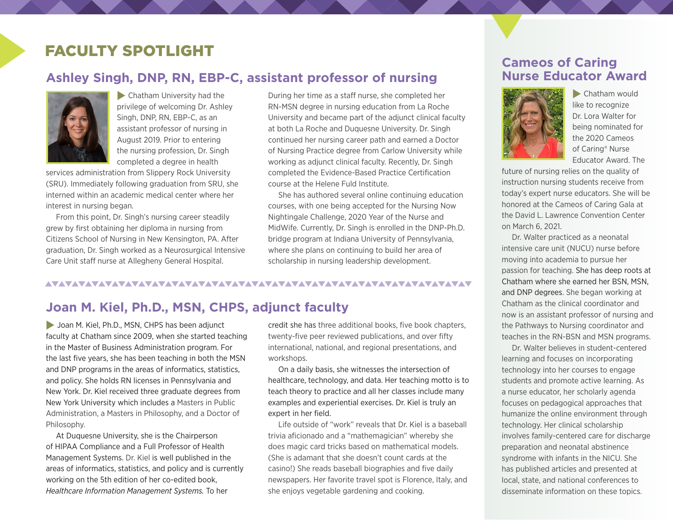## FACULTY SPOTLIGHT

## **Ashley Singh, DNP, RN, EBP-C, assistant professor of nursing**



 $\blacktriangleright$  Chatham University had the privilege of welcoming Dr. Ashley Singh, DNP, RN, EBP-C, as an assistant professor of nursing in August 2019. Prior to entering the nursing profession, Dr. Singh completed a degree in health

services administration from Slippery Rock University (SRU). Immediately following graduation from SRU, she interned within an academic medical center where her interest in nursing began.

From this point, Dr. Singh's nursing career steadily grew by first obtaining her diploma in nursing from Citizens School of Nursing in New Kensington, PA. After graduation, Dr. Singh worked as a Neurosurgical Intensive Care Unit staff nurse at Allegheny General Hospital.

During her time as a staff nurse, she completed her RN-MSN degree in nursing education from La Roche University and became part of the adjunct clinical faculty at both La Roche and Duquesne University. Dr. Singh continued her nursing career path and earned a Doctor of Nursing Practice degree from Carlow University while working as adjunct clinical faculty. Recently, Dr. Singh completed the Evidence-Based Practice Certification course at the Helene Fuld Institute.

She has authored several online continuing education courses, with one being accepted for the Nursing Now Nightingale Challenge, 2020 Year of the Nurse and MidWife. Currently, Dr. Singh is enrolled in the DNP-Ph.D. bridge program at Indiana University of Pennsylvania, where she plans on continuing to build her area of scholarship in nursing leadership development.

### 

## **Joan M. Kiel, Ph.D., MSN, CHPS, adjunct faculty**

Joan M. Kiel, Ph.D., MSN, CHPS has been adjunct faculty at Chatham since 2009, when she started teaching in the Master of Business Administration program. For the last five years, she has been teaching in both the MSN and DNP programs in the areas of informatics, statistics, and policy. She holds RN licenses in Pennsylvania and New York. Dr. Kiel received three graduate degrees from New York University which includes a Masters in Public Administration, a Masters in Philosophy, and a Doctor of Philosophy.

At Duquesne University, she is the Chairperson of HIPAA Compliance and a Full Professor of Health Management Systems. Dr. Kiel is well published in the areas of informatics, statistics, and policy and is currently working on the 5th edition of her co-edited book, *Healthcare Information Management Systems.* To her

credit she has three additional books, five book chapters, twenty-five peer reviewed publications, and over fifty international, national, and regional presentations, and workshops.

On a daily basis, she witnesses the intersection of healthcare, technology, and data. Her teaching motto is to teach theory to practice and all her classes include many examples and experiential exercises. Dr. Kiel is truly an expert in her field.

Life outside of "work" reveals that Dr. Kiel is a baseball trivia aficionado and a "mathemagician" whereby she does magic card tricks based on mathematical models. (She is adamant that she doesn't count cards at the casino!) She reads baseball biographies and five daily newspapers. Her favorite travel spot is Florence, Italy, and she enjoys vegetable gardening and cooking.

## **Cameos of Caring Nurse Educator Award**



 $\blacktriangleright$  Chatham would like to recognize Dr. Lora Walter for being nominated for the 2020 Cameos of Caring® Nurse Educator Award. The

future of nursing relies on the quality of instruction nursing students receive from today's expert nurse educators. She will be honored at the Cameos of Caring Gala at the David L. Lawrence Convention Center on March 6, 2021.

Dr. Walter practiced as a neonatal intensive care unit (NUCU) nurse before moving into academia to pursue her passion for teaching. She has deep roots at Chatham where she earned her BSN, MSN, and DNP degrees. She began working at Chatham as the clinical coordinator and now is an assistant professor of nursing and the Pathways to Nursing coordinator and teaches in the RN-BSN and MSN programs.

Dr. Walter believes in student-centered learning and focuses on incorporating technology into her courses to engage students and promote active learning. As a nurse educator, her scholarly agenda focuses on pedagogical approaches that humanize the online environment through technology. Her clinical scholarship involves family-centered care for discharge preparation and neonatal abstinence syndrome with infants in the NICU. She has published articles and presented at local, state, and national conferences to disseminate information on these topics.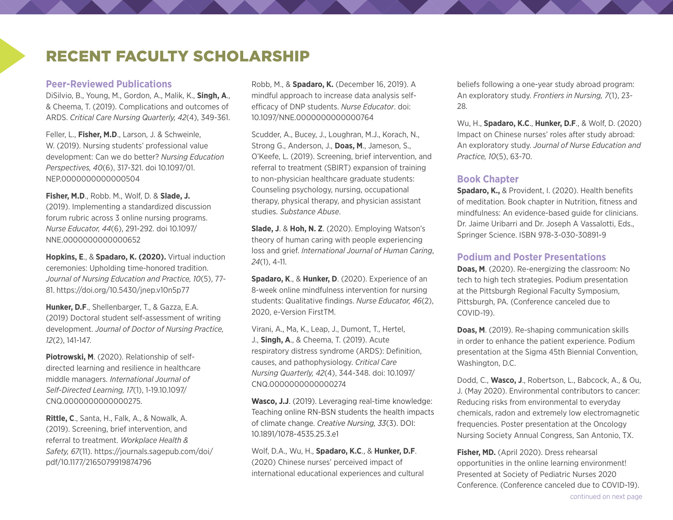## RECENT FACULTY SCHOLARSHIP

#### **Peer-Reviewed Publications**

DiSilvio, B., Young, M., Gordon, A., Malik, K., **Singh, A**., & Cheema, T. (2019). Complications and outcomes of ARDS. *Critical Care Nursing Quarterly, 42*(4), 349-361.

Feller, L., **Fisher, M.D**., Larson, J. & Schweinle, W. (2019). Nursing students' professional value development: Can we do better? *Nursing Education Perspectives, 40*(6), 317-321. doi 10.1097/01. NEP.0000000000000504

**Fisher, M.D**., Robb. M., Wolf, D. & **Slade, J.** (2019). Implementing a standardized discussion forum rubric across 3 online nursing programs. *Nurse Educator, 44*(6), 291-292. doi 10.1097/ NNE.0000000000000652

**Hopkins, E**., & **Spadaro, K. (2020).** Virtual induction ceremonies: Upholding time-honored tradition. *Journal of Nursing Education and Practice, 10*(5), 77- 81. <https://doi.org/10.5430/jnep.v10n5p77>

**Hunker, D.F**., Shellenbarger, T., & Gazza, E.A. (2019) Doctoral student self-assessment of writing development. *Journal of Doctor of Nursing Practice, 12*(2), 141-147.

**Piotrowski, M**. (2020). Relationship of selfdirected learning and resilience in healthcare middle managers. *International Journal of Self-Directed Learning, 17*(1), 1-19.10.1097/ CNQ.0000000000000275.

**Rittle, C**., Santa, H., Falk, A., & Nowalk, A. (2019). Screening, brief intervention, and referral to treatment. *Workplace Health & Safety, 67*(11). [https://journals.sagepub.com/doi/](https://journals.sagepub.com/doi/pdf/10.1177/2165079919874796) [pdf/10.1177/2165079919874796](https://journals.sagepub.com/doi/pdf/10.1177/2165079919874796)

Robb, M., & **Spadaro, K.** (December 16, 2019). A mindful approach to increase data analysis selfefficacy of DNP students. *Nurse Educator*. doi: 10.1097/NNE.0000000000000764

Scudder, A., Bucey, J., Loughran, M.J., Korach, N., Strong G., Anderson, J., **Doas, M**., Jameson, S., O'Keefe, L. (2019). Screening, brief intervention, and referral to treatment (SBIRT) expansion of training to non-physician healthcare graduate students: Counseling psychology, nursing, occupational therapy, physical therapy, and physician assistant studies. *Substance Abuse*.

**Slade, J**. & **Hoh, N. Z**. (2020). Employing Watson's theory of human caring with people experiencing loss and grief. *International Journal of Human Caring*, *24*(1), 4-11.

**Spadaro, K**., & **Hunker, D**. (2020). Experience of an 8-week online mindfulness intervention for nursing students: Qualitative findings. *Nurse Educator, 46*(2), 2020, e-Version FirstTM.

Virani, A., Ma, K., Leap, J., Dumont, T., Hertel, J., **Singh, A**., & Cheema, T. (2019). Acute respiratory distress syndrome (ARDS): Definition, causes, and pathophysiology. *Critical Care Nursing Quarterly, 42*(4), 344-348. doi: 10.1097/ CNQ.0000000000000274

**Wasco, J.J**. (2019). Leveraging real-time knowledge: Teaching online RN-BSN students the health impacts of climate change. *Creative Nursing, 33*(3). DOI: 10.1891/1078-4535.25.3.e1

Wolf, D.A., Wu, H., **Spadaro, K.C**., & **Hunker, D.F**. (2020) Chinese nurses' perceived impact of international educational experiences and cultural beliefs following a one-year study abroad program: An exploratory study. *Frontiers in Nursing, 7*(1), 23- 28.

Wu, H., **Spadaro, K.C**., **Hunker, D.F**., & Wolf, D. (2020) Impact on Chinese nurses' roles after study abroad: An exploratory study. *Journal of Nurse Education and Practice, 10*(5), 63-70.

### **Book Chapter**

**Spadaro, K.,** & Provident, I. (2020). Health benefits of meditation. Book chapter in Nutrition, fitness and mindfulness: An evidence-based guide for clinicians. Dr. Jaime Uribarri and Dr. Joseph A Vassalotti, Eds., Springer Science. ISBN 978-3-030-30891-9

#### **Podium and Poster Presentations**

**Doas, M**. (2020). Re-energizing the classroom: No tech to high tech strategies. Podium presentation at the Pittsburgh Regional Faculty Symposium, Pittsburgh, PA. (Conference canceled due to COVID-19).

**Doas, M**. (2019). Re-shaping communication skills in order to enhance the patient experience. Podium presentation at the Sigma 45th Biennial Convention, Washington, D.C.

Dodd, C., **Wasco, J**., Robertson, L., Babcock, A., & Ou, J. (May 2020). Environmental contributors to cancer: Reducing risks from environmental to everyday chemicals, radon and extremely low electromagnetic frequencies. Poster presentation at the Oncology Nursing Society Annual Congress, San Antonio, TX.

**Fisher, MD.** (April 2020). Dress rehearsal opportunities in the online learning environment! Presented at Society of Pediatric Nurses 2020 Conference. (Conference canceled due to COVID-19).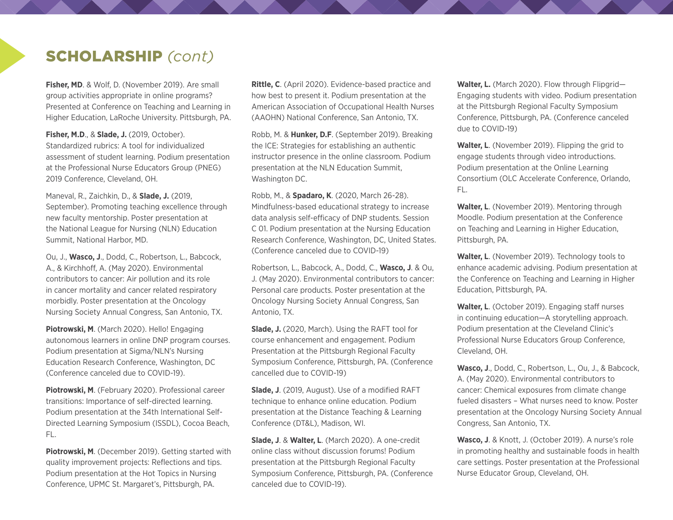## SCHOLARSHIP *(cont)*

**Fisher, MD**. & Wolf, D. (November 2019). Are small group activities appropriate in online programs? Presented at Conference on Teaching and Learning in Higher Education, LaRoche University. Pittsburgh, PA.

**Fisher, M.D**., & **Slade, J.** (2019, October). Standardized rubrics: A tool for individualized assessment of student learning. Podium presentation at the Professional Nurse Educators Group (PNEG) 2019 Conference, Cleveland, OH.

Maneval, R., Zaichkin, D., & **Slade, J.** (2019, September). Promoting teaching excellence through new faculty mentorship. Poster presentation at the National League for Nursing (NLN) Education Summit, National Harbor, MD.

Ou, J., **Wasco, J**., Dodd, C., Robertson, L., Babcock, A., & Kirchhoff, A. (May 2020). Environmental contributors to cancer: Air pollution and its role in cancer mortality and cancer related respiratory morbidly. Poster presentation at the Oncology Nursing Society Annual Congress, San Antonio, TX.

**Piotrowski, M**. (March 2020). Hello! Engaging autonomous learners in online DNP program courses. Podium presentation at Sigma/NLN's Nursing Education Research Conference, Washington, DC (Conference canceled due to COVID-19).

**Piotrowski, M**. (February 2020). Professional career transitions: Importance of self-directed learning. Podium presentation at the 34th International Self-Directed Learning Symposium (ISSDL), Cocoa Beach, FL.

**Piotrowski, M**. (December 2019). Getting started with quality improvement projects: Reflections and tips. Podium presentation at the Hot Topics in Nursing Conference, UPMC St. Margaret's, Pittsburgh, PA.

**Rittle, C**. (April 2020). Evidence-based practice and how best to present it. Podium presentation at the American Association of Occupational Health Nurses (AAOHN) National Conference, San Antonio, TX.

Robb, M. & **Hunker, D.F**. (September 2019). Breaking the ICE: Strategies for establishing an authentic instructor presence in the online classroom. Podium presentation at the NLN Education Summit, Washington DC.

Robb, M., & **Spadaro, K**. (2020, March 26-28). Mindfulness-based educational strategy to increase data analysis self-efficacy of DNP students. Session C 01. Podium presentation at the Nursing Education Research Conference, Washington, DC, United States. (Conference canceled due to COVID-19)

Robertson, L., Babcock, A., Dodd, C., **Wasco, J**. & Ou, J. (May 2020). Environmental contributors to cancer: Personal care products. Poster presentation at the Oncology Nursing Society Annual Congress, San Antonio, TX.

**Slade, J.** (2020, March). Using the RAFT tool for course enhancement and engagement. Podium Presentation at the Pittsburgh Regional Faculty Symposium Conference, Pittsburgh, PA. (Conference cancelled due to COVID-19)

**Slade, J**. (2019, August). Use of a modified RAFT technique to enhance online education. Podium presentation at the Distance Teaching & Learning Conference (DT&L), Madison, WI.

**Slade, J**. & **Walter, L**. (March 2020). A one-credit online class without discussion forums! Podium presentation at the Pittsburgh Regional Faculty Symposium Conference, Pittsburgh, PA. (Conference canceled due to COVID-19).

**Walter, L.** (March 2020). Flow through Flipgrid— Engaging students with video. Podium presentation at the Pittsburgh Regional Faculty Symposium Conference, Pittsburgh, PA. (Conference canceled due to COVID-19)

**Walter, L**. (November 2019). Flipping the grid to engage students through video introductions. Podium presentation at the Online Learning Consortium (OLC Accelerate Conference, Orlando, FL.

**Walter, L**. (November 2019). Mentoring through Moodle. Podium presentation at the Conference on Teaching and Learning in Higher Education, Pittsburgh, PA.

**Walter, L**. (November 2019). Technology tools to enhance academic advising. Podium presentation at the Conference on Teaching and Learning in Higher Education, Pittsburgh, PA.

**Walter, L**. (October 2019). Engaging staff nurses in continuing education—A storytelling approach. Podium presentation at the Cleveland Clinic's Professional Nurse Educators Group Conference, Cleveland, OH.

**Wasco, J**., Dodd, C., Robertson, L., Ou, J., & Babcock, A. (May 2020). Environmental contributors to cancer: Chemical exposures from climate change fueled disasters – What nurses need to know. Poster presentation at the Oncology Nursing Society Annual Congress, San Antonio, TX.

**Wasco, J**. & Knott, J. (October 2019). A nurse's role in promoting healthy and sustainable foods in health care settings. Poster presentation at the Professional Nurse Educator Group, Cleveland, OH.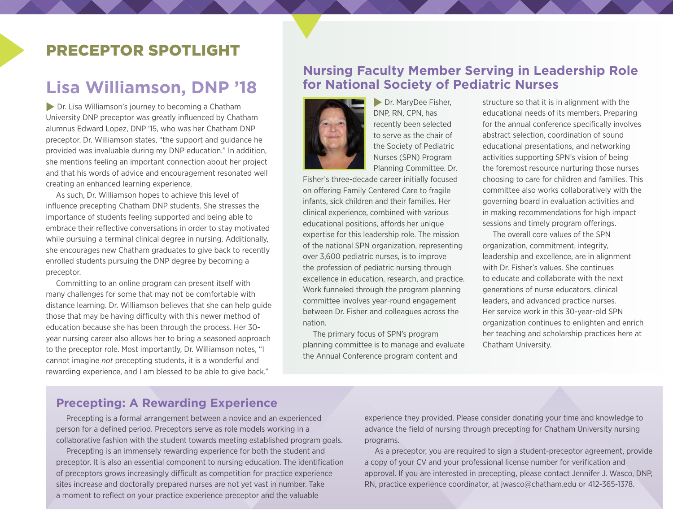## PRECEPTOR SPOTLIGHT

# **Lisa Williamson, DNP '18**

 $\triangleright$  Dr. Lisa Williamson's journey to becoming a Chatham University DNP preceptor was greatly influenced by Chatham alumnus Edward Lopez, DNP '15, who was her Chatham DNP preceptor. Dr. Williamson states, "the support and guidance he provided was invaluable during my DNP education." In addition, she mentions feeling an important connection about her project and that his words of advice and encouragement resonated well creating an enhanced learning experience.

As such, Dr. Williamson hopes to achieve this level of influence precepting Chatham DNP students. She stresses the importance of students feeling supported and being able to embrace their reflective conversations in order to stay motivated while pursuing a terminal clinical degree in nursing. Additionally, she encourages new Chatham graduates to give back to recently enrolled students pursuing the DNP degree by becoming a preceptor.

Committing to an online program can present itself with many challenges for some that may not be comfortable with distance learning. Dr. Williamson believes that she can help guide those that may be having difficulty with this newer method of education because she has been through the process. Her 30 year nursing career also allows her to bring a seasoned approach to the preceptor role. Most importantly, Dr. Williamson notes, "I cannot imagine *not* precepting students, it is a wonderful and rewarding experience, and I am blessed to be able to give back."

## **Nursing Faculty Member Serving in Leadership Role for National Society of Pediatric Nurses**



**Dr. MaryDee Fisher,** DNP, RN, CPN, has recently been selected to serve as the chair of the Society of Pediatric Nurses (SPN) Program Planning Committee. Dr.

Fisher's three-decade career initially focused on offering Family Centered Care to fragile infants, sick children and their families. Her clinical experience, combined with various educational positions, affords her unique expertise for this leadership role. The mission of the national SPN organization, representing over 3,600 pediatric nurses, is to improve the profession of pediatric nursing through excellence in education, research, and practice. Work funneled through the program planning committee involves year-round engagement between Dr. Fisher and colleagues across the nation.

The primary focus of SPN's program planning committee is to manage and evaluate the Annual Conference program content and

structure so that it is in alignment with the educational needs of its members. Preparing for the annual conference specifically involves abstract selection, coordination of sound educational presentations, and networking activities supporting SPN's vision of being the foremost resource nurturing those nurses choosing to care for children and families. This committee also works collaboratively with the governing board in evaluation activities and in making recommendations for high impact sessions and timely program offerings.

The overall core values of the SPN organization, commitment, integrity, leadership and excellence, are in alignment with Dr. Fisher's values. She continues to educate and collaborate with the next generations of nurse educators, clinical leaders, and advanced practice nurses. Her service work in this 30-year-old SPN organization continues to enlighten and enrich her teaching and scholarship practices here at Chatham University.

### **Precepting: A Rewarding Experience**

Precepting is a formal arrangement between a novice and an experienced person for a defined period. Preceptors serve as role models working in a collaborative fashion with the student towards meeting established program goals.

Precepting is an immensely rewarding experience for both the student and preceptor. It is also an essential component to nursing education. The identification of preceptors grows increasingly difficult as competition for practice experience sites increase and doctorally prepared nurses are not yet vast in number. Take a moment to reflect on your practice experience preceptor and the valuable

experience they provided. Please consider donating your time and knowledge to advance the field of nursing through precepting for Chatham University nursing programs.

As a preceptor, you are required to sign a student-preceptor agreement, provide a copy of your CV and your professional license number for verification and approval. If you are interested in precepting, please contact Jennifer J. Wasco, DNP, RN, practice experience coordinator, at jwasco@chatham.edu or 412-365-1378.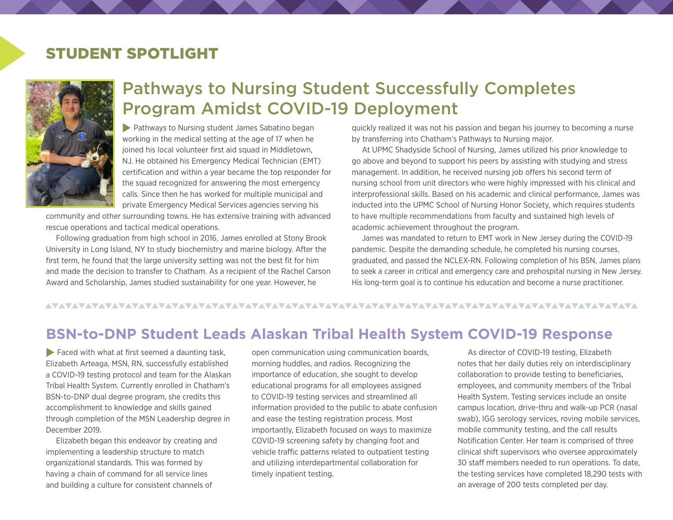# STUDENT SPOTLIGHT



# Pathways to Nursing Student Successfully Completes Program Amidst COVID-19 Deployment

**Pathways to Nursing student James Sabatino began** working in the medical setting at the age of 17 when he joined his local volunteer first aid squad in Middletown. NJ. He obtained his Emergency Medical Technician (EMT) certification and within a year became the top responder for the squad recognized for answering the most emergency calls. Since then he has worked for multiple municipal and private Emergency Medical Services agencies serving his

community and other surrounding towns. He has extensive training with advanced rescue operations and tactical medical operations.

Following graduation from high school in 2016, James enrolled at Stony Brook University in Long Island, NY to study biochemistry and marine biology. After the first term, he found that the large university setting was not the best fit for him and made the decision to transfer to Chatham. As a recipient of the Rachel Carson Award and Scholarship, James studied sustainability for one year. However, he

quickly realized it was not his passion and began his journey to becoming a nurse by transferring into Chatham's Pathways to Nursing major.

At UPMC Shadyside School of Nursing, James utilized his prior knowledge to go above and beyond to support his peers by assisting with studying and stress management. In addition, he received nursing job offers his second term of nursing school from unit directors who were highly impressed with his clinical and interprofessional skills. Based on his academic and clinical performance, James was inducted into the UPMC School of Nursing Honor Society, which requires students to have multiple recommendations from faculty and sustained high levels of academic achievement throughout the program.

James was mandated to return to EMT work in New Jersey during the COVID-19 pandemic. Despite the demanding schedule, he completed his nursing courses, graduated, and passed the NCLEX-RN. Following completion of his BSN, James plans to seek a career in critical and emergency care and prehospital nursing in New Jersey. His long-term goal is to continue his education and become a nurse practitioner.

### 

## **BSN-to-DNP Student Leads Alaskan Tribal Health System COVID-19 Response**

 $\blacktriangleright$  Faced with what at first seemed a daunting task, Elizabeth Arteaga, MSN, RN, successfully established a COVID-19 testing protocol and team for the Alaskan Tribal Health System. Currently enrolled in Chatham's BSN-to-DNP dual degree program, she credits this accomplishment to knowledge and skills gained through completion of the MSN Leadership degree in December 2019.

Elizabeth began this endeavor by creating and implementing a leadership structure to match organizational standards. This was formed by having a chain of command for all service lines and building a culture for consistent channels of

open communication using communication boards, morning huddles, and radios. Recognizing the importance of education, she sought to develop educational programs for all employees assigned to COVID-19 testing services and streamlined all information provided to the public to abate confusion and ease the testing registration process. Most importantly, Elizabeth focused on ways to maximize COVID-19 screening safety by changing foot and vehicle traffic patterns related to outpatient testing and utilizing interdepartmental collaboration for timely inpatient testing.

As director of COVID-19 testing, Elizabeth notes that her daily duties rely on interdisciplinary collaboration to provide testing to beneficiaries, employees, and community members of the Tribal Health System. Testing services include an onsite campus location, drive-thru and walk-up PCR (nasal swab), IGG serology services, roving mobile services, mobile community testing, and the call results Notification Center. Her team is comprised of three clinical shift supervisors who oversee approximately 30 staff members needed to run operations. To date, the testing services have completed 18,290 tests with an average of 200 tests completed per day.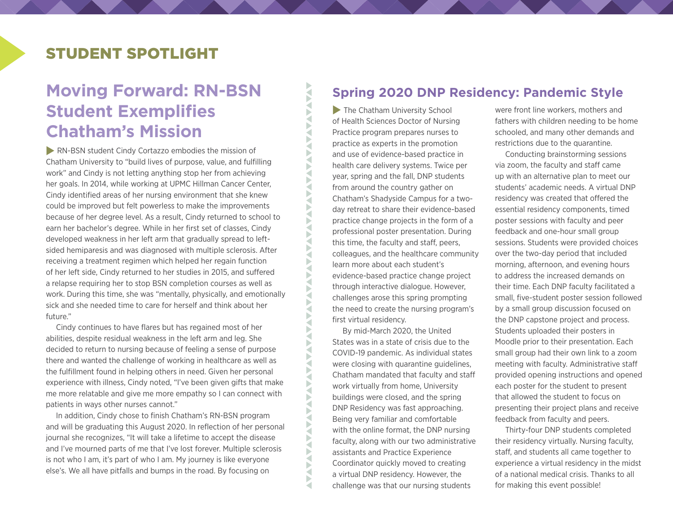# STUDENT SPOTLIGHT

# **Moving Forward: RN-BSN Student Exemplifies Chatham's Mission**

**RN-BSN student Cindy Cortazzo embodies the mission of** Chatham University to "build lives of purpose, value, and fulfilling work" and Cindy is not letting anything stop her from achieving her goals. In 2014, while working at UPMC Hillman Cancer Center, Cindy identified areas of her nursing environment that she knew could be improved but felt powerless to make the improvements because of her degree level. As a result, Cindy returned to school to earn her bachelor's degree. While in her first set of classes, Cindy developed weakness in her left arm that gradually spread to leftsided hemiparesis and was diagnosed with multiple sclerosis. After receiving a treatment regimen which helped her regain function of her left side, Cindy returned to her studies in 2015, and suffered a relapse requiring her to stop BSN completion courses as well as work. During this time, she was "mentally, physically, and emotionally sick and she needed time to care for herself and think about her future."

Cindy continues to have flares but has regained most of her abilities, despite residual weakness in the left arm and leg. She decided to return to nursing because of feeling a sense of purpose there and wanted the challenge of working in healthcare as well as the fulfillment found in helping others in need. Given her personal experience with illness, Cindy noted, "I've been given gifts that make me more relatable and give me more empathy so I can connect with patients in ways other nurses cannot."

In addition, Cindy chose to finish Chatham's RN-BSN program and will be graduating this August 2020. In reflection of her personal journal she recognizes, "It will take a lifetime to accept the disease and I've mourned parts of me that I've lost forever. Multiple sclerosis is not who I am, it's part of who I am. My journey is like everyone else's. We all have pitfalls and bumps in the road. By focusing on

## **Spring 2020 DNP Residency: Pandemic Style**

 $\blacktriangleright$  The Chatham University School of Health Sciences Doctor of Nursing Practice program prepares nurses to practice as experts in the promotion and use of evidence-based practice in health care delivery systems. Twice per year, spring and the fall, DNP students from around the country gather on Chatham's Shadyside Campus for a twoday retreat to share their evidence-based practice change projects in the form of a professional poster presentation. During this time, the faculty and staff, peers, colleagues, and the healthcare community learn more about each student's evidence-based practice change project through interactive dialogue. However, challenges arose this spring prompting the need to create the nursing program's first virtual residency.

**AXA** 

**ANA** a Þ ₹ Þ ◀

b ₹ b ∢ Þ ₹ ь ₹ Þ Š  $\tilde{\mathbf{S}}$ ∢ F

**NAVA** ∢ F ₹ Þ Þ ∢ Б a Þ ₹

**TATALANA TATALANA** 

Š а

By mid-March 2020, the United States was in a state of crisis due to the COVID-19 pandemic. As individual states were closing with quarantine guidelines, Chatham mandated that faculty and staff work virtually from home, University buildings were closed, and the spring DNP Residency was fast approaching. Being very familiar and comfortable with the online format, the DNP nursing faculty, along with our two administrative assistants and Practice Experience Coordinator quickly moved to creating a virtual DNP residency. However, the challenge was that our nursing students

were front line workers, mothers and fathers with children needing to be home schooled, and many other demands and restrictions due to the quarantine.

Conducting brainstorming sessions via zoom, the faculty and staff came up with an alternative plan to meet our students' academic needs. A virtual DNP residency was created that offered the essential residency components, timed poster sessions with faculty and peer feedback and one-hour small group sessions. Students were provided choices over the two-day period that included morning, afternoon, and evening hours to address the increased demands on their time. Each DNP faculty facilitated a small, five-student poster session followed by a small group discussion focused on the DNP capstone project and process. Students uploaded their posters in Moodle prior to their presentation. Each small group had their own link to a zoom meeting with faculty. Administrative staff provided opening instructions and opened each poster for the student to present that allowed the student to focus on presenting their project plans and receive feedback from faculty and peers.

Thirty-four DNP students completed their residency virtually. Nursing faculty, staff, and students all came together to experience a virtual residency in the midst of a national medical crisis. Thanks to all for making this event possible!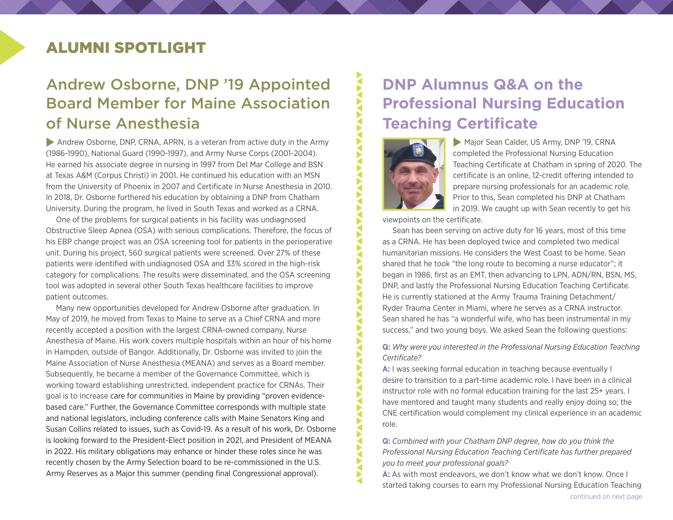# ALUMNI SPOTLIGHT

# Andrew Osborne, DNP '19 Appointed Board Member for Maine Association of Nurse Anesthesia

Andrew Osborne, DNP, CRNA, APRN, is a veteran from active duty in the Army (1986-1990), National Guard (1990-1997), and Army Nurse Corps (2001-2004). He earned his associate degree in nursing in 1997 from Del Mar College and BSN at Texas A&M (Corpus Christi) in 2001. He continued his education with an MSN from the University of Phoenix in 2007 and Certificate in Nurse Anesthesia in 2010. In 2018, Dr. Osborne furthered his education by obtaining a DNP from Chatham University. During the program, he lived in South Texas and worked as a CRNA.

One of the problems for surgical patients in his facility was undiagnosed Obstructive Sleep Apnea (OSA) with serious complications. Therefore, the focus of his EBP change project was an OSA screening tool for patients in the perioperative unit. During his project, 560 surgical patients were screened. Over 27% of these patients were identified with undiagnosed OSA and 33% scored in the high-risk category for complications. The results were disseminated, and the OSA screening tool was adopted in several other South Texas healthcare facilities to improve patient outcomes.

Many new opportunities developed for Andrew Osborne after graduation. In May of 2019, he moved from Texas to Maine to serve as a Chief CRNA and more recently accepted a position with the largest CRNA-owned company, Nurse Anesthesia of Maine. His work covers multiple hospitals within an hour of his home in Hampden, outside of Bangor. Additionally, Dr. Osborne was invited to join the Maine Association of Nurse Anesthesia (MEANA) and serves as a Board member. Subsequently, he became a member of the Governance Committee, which is working toward establishing unrestricted, independent practice for CRNAs. Their goal is to increase care for communities in Maine by providing "proven evidencebased care." Further, the Governance Committee corresponds with multiple state and national legislators, including conference calls with Maine Senators King and Susan Collins related to issues, such as Covid-19. As a result of his work, Dr. Osborne is looking forward to the President-Elect position in 2021, and President of MEANA in 2022. His military obligations may enhance or hinder these roles since he was recently chosen by the Army Selection board to be re-commissioned in the U.S. Army Reserves as a Major this summer (pending final Congressional approval).

# **DNP Alumnus Q&A on the Professional Nursing Education Teaching Certificate**



 $\blacktriangleright$ 

**AVA** Š

Ń ₹ Б ◀ ▶  $\tilde{\mathbf{S}}$ ₹ Š ▶  $\mathbf{S}$ Ń ◀ Б ◀ ◀ F ◀ Б

▶ ◀ ◀ ◀ ◀ ₹ Б ◀ Б  $\tilde{\mathbf{S}}$ 1 €

Major Sean Calder, US Army, DNP '19, CRNA completed the Professional Nursing Education Teaching Certificate at Chatham in spring of 2020. The certificate is an online, 12-credit offering intended to prepare nursing professionals for an academic role. Prior to this, Sean completed his DNP at Chatham in 2019. We caught up with Sean recently to get his

viewpoints on the certificate.

Sean has been serving on active duty for 16 years, most of this time as a CRNA. He has been deployed twice and completed two medical humanitarian missions. He considers the West Coast to be home. Sean shared that he took "the long route to becoming a nurse educator"; it began in 1986, first as an EMT, then advancing to LPN, ADN/RN, BSN, MS, DNP, and lastly the Professional Nursing Education Teaching Certificate. He is currently stationed at the Army Trauma Training Detachment/ Ryder Trauma Center in Miami, where he serves as a CRNA instructor. Sean shared he has "a wonderful wife, who has been instrumental in my success," and two young boys. We asked Sean the following questions:

**Q:** *Why were you interested in the Professional Nursing Education Teaching Certificate?* 

**A:** I was seeking formal education in teaching because eventually I desire to transition to a part-time academic role. I have been in a clinical instructor role with no formal education training for the last 25+ years. I have mentored and taught many students and really enjoy doing so; the CNE certification would complement my clinical experience in an academic role.

**Q:** *Combined with your Chatham DNP degree, how do you think the Professional Nursing Education Teaching Certificate has further prepared you to meet your professional goals?*

A: As with most endeavors, we don't know what we don't know. Once I started taking courses to earn my Professional Nursing Education Teaching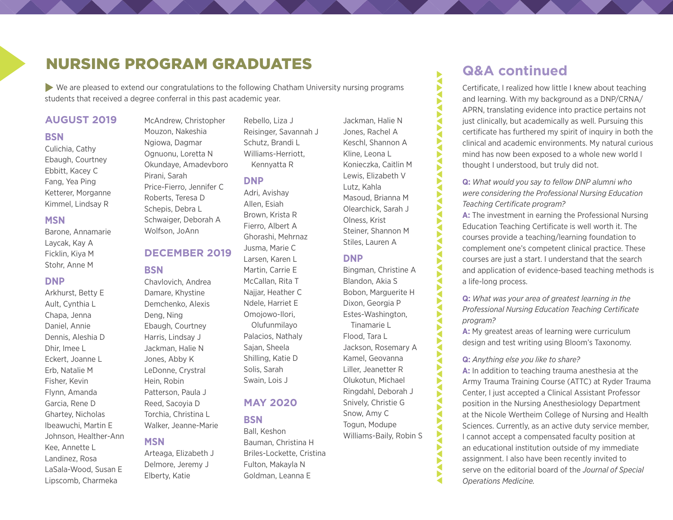## NURSING PROGRAM GRADUATES

 $\blacktriangleright$  We are pleased to extend our congratulations to the following Chatham University nursing programs students that received a degree conferral in this past academic year.

#### **AUGUST 2019**

#### **BSN**

Culichia, Cathy Ebaugh, Courtney Ebbitt, Kacey C Fang, Yea Ping Ketterer, Morganne Kimmel, Lindsay R

#### **MSN**

Barone, Annamarie Laycak, Kay A Ficklin, Kiya M Stohr, Anne M

#### **DNP**

Arkhurst, Betty E Ault, Cynthia L Chapa, Jenna Daniel, Annie Dennis, Aleshia D Dhir, Imee L Eckert, Joanne L Erb, Natalie M Fisher, Kevin Flynn, Amanda Garcia, Rene D Ghartey, Nicholas Ibeawuchi, Martin E Johnson, Healther-Ann Kee, Annette L Landinez, Rosa LaSala-Wood, Susan E Lipscomb, Charmeka

McAndrew, Christopher Mouzon, Nakeshia Ngiowa, Dagmar Ognuonu, Loretta N Okundaye, Amadevboro Pirani, Sarah Price-Fierro, Jennifer C Roberts, Teresa D Schepis, Debra L Schwaiger, Deborah A

#### **DECEMBER 2019**

Wolfson, JoAnn

#### **BSN**

Chavlovich, Andrea Damare, Khystine Demchenko, Alexis Deng, Ning Ebaugh, Courtney Harris, Lindsay J Jackman, Halie N Jones, Abby K LeDonne, Crystral Hein, Robin Patterson, Paula J Reed, Sacoyia D Torchia, Christina L Walker, Jeanne-Marie

### **MSN**

Arteaga, Elizabeth J Delmore, Jeremy J Elberty, Katie

Rebello, Liza J Reisinger, Savannah J Schutz, Brandi L Williams-Herriott, Kennyatta R

#### **DNP**

Adri, Avishay Allen, Esiah Brown, Krista R Fierro, Albert A Ghorashi, Mehrnaz Jusma, Marie C Larsen, Karen L Martin, Carrie E McCallan, Rita T Najjar, Heather C Ndele, Harriet E Omojowo-Ilori, Olufunmilayo Palacios, Nathaly Sajan, Sheela Shilling, Katie D Solis, Sarah Swain, Lois J

### **MAY 2020**

**BSN**

Ball, Keshon Bauman, Christina H Briles-Lockette, Cristina Fulton, Makayla N Goldman, Leanna E

Jackman, Halie N Jones, Rachel A Keschl, Shannon A Kline, Leona L Konieczka, Caitlin M Lewis, Elizabeth V Lutz, Kahla Masoud, Brianna M Olearchick, Sarah J Olness, Krist Steiner, Shannon M Stiles, Lauren A

ATAMAN ATAN TAN ATAN ATAN ATAN ATAN

**AVANTA** 

Ř Š

**ANAVANAV** 

₹

**TATALA** 

#### **DNP**

Bingman, Christine A Blandon, Akia S Bobon, Marguerite H Dixon, Georgia P Estes-Washington, Tinamarie L

Flood, Tara L Jackson, Rosemary A Kamel, Geovanna Liller, Jeanetter R Olukotun, Michael Ringdahl, Deborah J Snively, Christie G Snow, Amy C Togun, Modupe Williams-Baily, Robin S

## **Q&A continued**

Certificate, I realized how little I knew about teaching and learning. With my background as a DNP/CRNA/ APRN, translating evidence into practice pertains not just clinically, but academically as well. Pursuing this certificate has furthered my spirit of inquiry in both the clinical and academic environments. My natural curious mind has now been exposed to a whole new world I thought I understood, but truly did not.

**Q:** *What would you say to fellow DNP alumni who were considering the Professional Nursing Education Teaching Certificate program?*

**A:** The investment in earning the Professional Nursing Education Teaching Certificate is well worth it. The courses provide a teaching/learning foundation to complement one's competent clinical practice. These courses are just a start. I understand that the search and application of evidence-based teaching methods is a life-long process.

**Q:** *What was your area of greatest learning in the Professional Nursing Education Teaching Certificate program?*

**A:** My greatest areas of learning were curriculum design and test writing using Bloom's Taxonomy.

#### **Q:** *Anything else you like to share?*

**A:** In addition to teaching trauma anesthesia at the Army Trauma Training Course (ATTC) at Ryder Trauma Center, I just accepted a Clinical Assistant Professor position in the Nursing Anesthesiology Department at the Nicole Wertheim College of Nursing and Health Sciences. Currently, as an active duty service member, I cannot accept a compensated faculty position at an educational institution outside of my immediate assignment. I also have been recently invited to serve on the editorial board of the *Journal of Special Operations Medicine.*